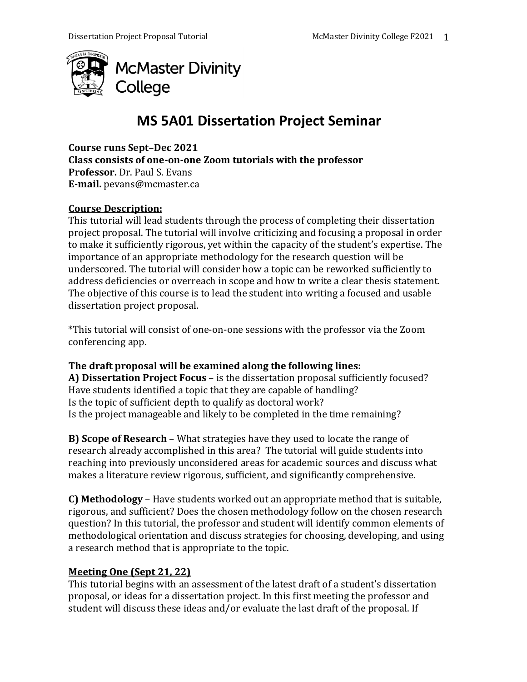

# **MS 5A01 Dissertation Project Seminar**

**Course runs Sept–Dec 2021 Class consists of one-on-one Zoom tutorials with the professor Professor.** Dr. Paul S. Evans **E-mail.** pevans@mcmaster.ca

## **Course Description:**

This tutorial will lead students through the process of completing their dissertation project proposal. The tutorial will involve criticizing and focusing a proposal in order to make it sufficiently rigorous, yet within the capacity of the student's expertise. The importance of an appropriate methodology for the research question will be underscored. The tutorial will consider how a topic can be reworked sufficiently to address deficiencies or overreach in scope and how to write a clear thesis statement. The objective of this course is to lead the student into writing a focused and usable dissertation project proposal.

\*This tutorial will consist of one-on-one sessions with the professor via the Zoom conferencing app.

## **The draft proposal will be examined along the following lines:**

**A) Dissertation Project Focus** – is the dissertation proposal sufficiently focused? Have students identified a topic that they are capable of handling? Is the topic of sufficient depth to qualify as doctoral work? Is the project manageable and likely to be completed in the time remaining?

**B) Scope of Research** – What strategies have they used to locate the range of research already accomplished in this area? The tutorial will guide students into reaching into previously unconsidered areas for academic sources and discuss what makes a literature review rigorous, sufficient, and significantly comprehensive.

**C) Methodology** – Have students worked out an appropriate method that is suitable, rigorous, and sufficient? Does the chosen methodology follow on the chosen research question? In this tutorial, the professor and student will identify common elements of methodological orientation and discuss strategies for choosing, developing, and using a research method that is appropriate to the topic.

## **Meeting One (Sept 21, 22)**

This tutorial begins with an assessment of the latest draft of a student's dissertation proposal, or ideas for a dissertation project. In this first meeting the professor and student will discuss these ideas and/or evaluate the last draft of the proposal. If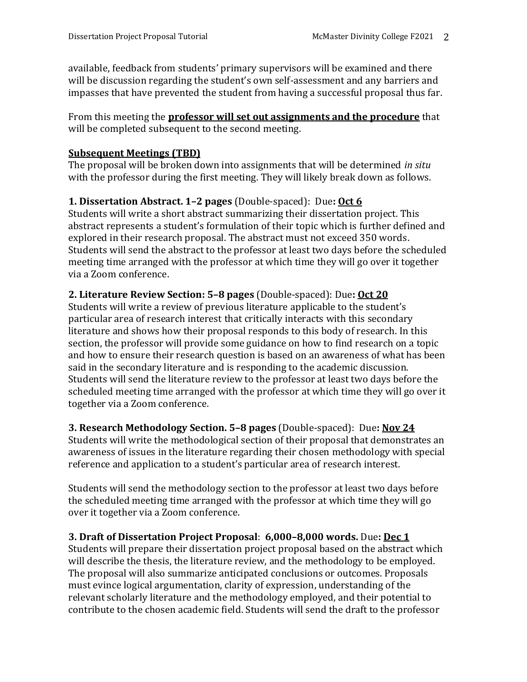available, feedback from students' primary supervisors will be examined and there will be discussion regarding the student's own self-assessment and any barriers and impasses that have prevented the student from having a successful proposal thus far.

From this meeting the **professor will set out assignments and the procedure** that will be completed subsequent to the second meeting.

## **Subsequent Meetings (TBD)**

The proposal will be broken down into assignments that will be determined *in situ*  with the professor during the first meeting. They will likely break down as follows.

## **1. Dissertation Abstract. 1–2 pages** (Double-spaced): Due**: Oct 6**

Students will write a short abstract summarizing their dissertation project. This abstract represents a student's formulation of their topic which is further defined and explored in their research proposal. The abstract must not exceed 350 words. Students will send the abstract to the professor at least two days before the scheduled meeting time arranged with the professor at which time they will go over it together via a Zoom conference.

## **2. Literature Review Section: 5–8 pages** (Double-spaced): Due**: Oct 20**

Students will write a review of previous literature applicable to the student's particular area of research interest that critically interacts with this secondary literature and shows how their proposal responds to this body of research. In this section, the professor will provide some guidance on how to find research on a topic and how to ensure their research question is based on an awareness of what has been said in the secondary literature and is responding to the academic discussion. Students will send the literature review to the professor at least two days before the scheduled meeting time arranged with the professor at which time they will go over it together via a Zoom conference.

## **3. Research Methodology Section. 5–8 pages** (Double-spaced): Due**: Nov 24**

Students will write the methodological section of their proposal that demonstrates an awareness of issues in the literature regarding their chosen methodology with special reference and application to a student's particular area of research interest.

Students will send the methodology section to the professor at least two days before the scheduled meeting time arranged with the professor at which time they will go over it together via a Zoom conference.

## **3. Draft of Dissertation Project Proposal**: **6,000–8,000 words.** Due**: Dec 1**

Students will prepare their dissertation project proposal based on the abstract which will describe the thesis, the literature review, and the methodology to be employed. The proposal will also summarize anticipated conclusions or outcomes. Proposals must evince logical argumentation, clarity of expression, understanding of the relevant scholarly literature and the methodology employed, and their potential to contribute to the chosen academic field. Students will send the draft to the professor